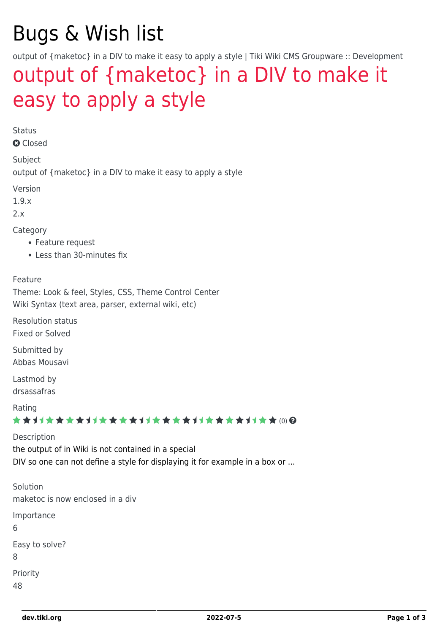# Bugs & Wish list

output of {maketoc} in a DIV to make it easy to apply a style | Tiki Wiki CMS Groupware :: Development

## [output of {maketoc} in a DIV to make it](https://dev.tiki.org/item229-output-of-maketoc-in-a-DIV-to-make-it-easy-to-apply-a-style) [easy to apply a style](https://dev.tiki.org/item229-output-of-maketoc-in-a-DIV-to-make-it-easy-to-apply-a-style)

Status

**a** Closed

Subject

output of {maketoc} in a DIV to make it easy to apply a style

Version

1.9.x

 $2x$ 

Category

- Feature request
- Less than 30-minutes fix

#### Feature

Theme: Look & feel, Styles, CSS, Theme Control Center Wiki Syntax (text area, parser, external wiki, etc)

Resolution status Fixed or Solved

Submitted by Abbas Mousavi

Lastmod by drsassafras

Rating

★★11★★★★11★★★★11★★★★11★★★★+11★★ (0) @

Description the output of in Wiki is not contained in a special DIV so one can not define a style for displaying it for example in a box or ...

Solution maketoc is now enclosed in a div Importance 6 Easy to solve? 8 Priority 48